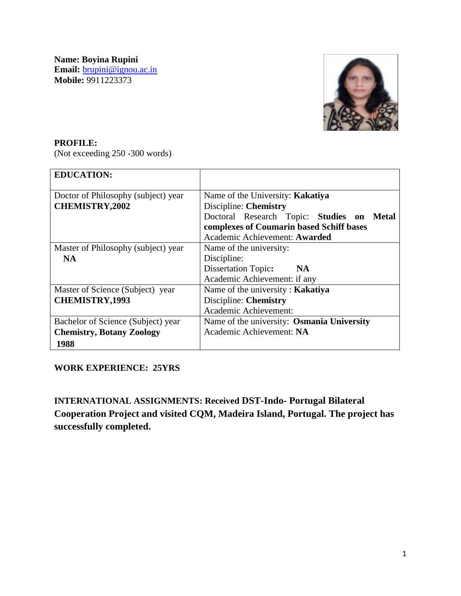**Name: Boyina Rupini Email:** [brupini@ignou.ac.in](mailto:brupini@ignou.ac.in) **Mobile:** 9911223373



#### **PROFILE:**

(Not exceeding 250 -300 words)

| <b>EDUCATION:</b>                                                              |                                                                                                                                                                                               |
|--------------------------------------------------------------------------------|-----------------------------------------------------------------------------------------------------------------------------------------------------------------------------------------------|
| Doctor of Philosophy (subject) year<br><b>CHEMISTRY,2002</b>                   | Name of the University: Kakatiya<br>Discipline: Chemistry<br>Doctoral Research Topic: Studies on<br><b>Metal</b><br>complexes of Coumarin based Schiff bases<br>Academic Achievement: Awarded |
| Master of Philosophy (subject) year<br><b>NA</b>                               | Name of the university:<br>Discipline:<br><b>Dissertation Topic:</b><br><b>NA</b><br>Academic Achievement: if any                                                                             |
| Master of Science (Subject) year<br><b>CHEMISTRY, 1993</b>                     | Name of the university: Kakatiya<br>Discipline: Chemistry<br>Academic Achievement:                                                                                                            |
| Bachelor of Science (Subject) year<br><b>Chemistry, Botany Zoology</b><br>1988 | Name of the university: Osmania University<br>Academic Achievement: NA                                                                                                                        |

### **WORK EXPERIENCE: 25YRS**

**INTERNATIONAL ASSIGNMENTS: Received DST-Indo- Portugal Bilateral Cooperation Project and visited CQM, Madeira Island, Portugal. The project has successfully completed.**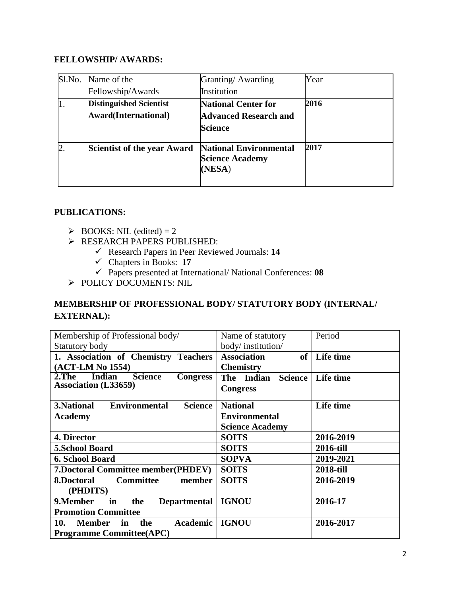## **FELLOWSHIP/ AWARDS:**

| Sl.No.           | Name of the                    | Granting/Awarding                | Year |
|------------------|--------------------------------|----------------------------------|------|
|                  | Fellowship/Awards              | Institution                      |      |
| 11.              | <b>Distinguished Scientist</b> | <b>National Center for</b>       | 2016 |
|                  | Award(International)           | <b>Advanced Research and</b>     |      |
|                  |                                | <b>Science</b>                   |      |
| $\overline{2}$ . | Scientist of the year Award    | <b>National Environmental</b>    | 2017 |
|                  |                                | <b>Science Academy</b><br>(NESA) |      |
|                  |                                |                                  |      |

### **PUBLICATIONS:**

- $\triangleright$  BOOKS: NIL (edited) = 2
- **RESEARCH PAPERS PUBLISHED:** 
	- Research Papers in Peer Reviewed Journals: **14**
	- Chapters in Books: **17**
	- Papers presented at International/ National Conferences: **08**
- POLICY DOCUMENTS: NIL

# **MEMBERSHIP OF PROFESSIONAL BODY/ STATUTORY BODY (INTERNAL/ EXTERNAL):**

| Membership of Professional body/                               | Name of statutory                     | Period           |
|----------------------------------------------------------------|---------------------------------------|------------------|
| Statutory body                                                 | body/institution/                     |                  |
| 1. Association of Chemistry Teachers                           | <b>Association</b><br>of <sub>1</sub> | Life time        |
| (ACT-LM No 1554)                                               | <b>Chemistry</b>                      |                  |
| <b>Indian</b><br>$2.$ The<br><b>Science</b><br><b>Congress</b> | The Indian Science                    | Life time        |
| <b>Association (L33659)</b>                                    | <b>Congress</b>                       |                  |
|                                                                |                                       |                  |
| <b>Environmental</b><br><b>Science</b><br>3. National          | <b>National</b>                       | Life time        |
| <b>Academy</b>                                                 | <b>Environmental</b>                  |                  |
|                                                                | <b>Science Academy</b>                |                  |
| 4. Director                                                    | <b>SOITS</b>                          | 2016-2019        |
| <b>5.School Board</b>                                          | <b>SOITS</b>                          | <b>2016-till</b> |
| 6. School Board                                                | <b>SOPVA</b>                          | 2019-2021        |
| <b>7.Doctoral Committee member(PHDEV)</b>                      | <b>SOITS</b>                          | 2018-till        |
| <b>Committee</b><br>member<br>8.Doctoral                       | <b>SOITS</b>                          | 2016-2019        |
| (PHDITS)                                                       |                                       |                  |
| 9. Member<br>in<br><b>Departmental</b><br>the                  | <b>IGNOU</b>                          | 2016-17          |
| <b>Promotion Committee</b>                                     |                                       |                  |
| <b>Academic</b><br>10.<br><b>Member</b><br>in<br>the           | <b>IGNOU</b>                          | 2016-2017        |
| <b>Programme Committee(APC)</b>                                |                                       |                  |